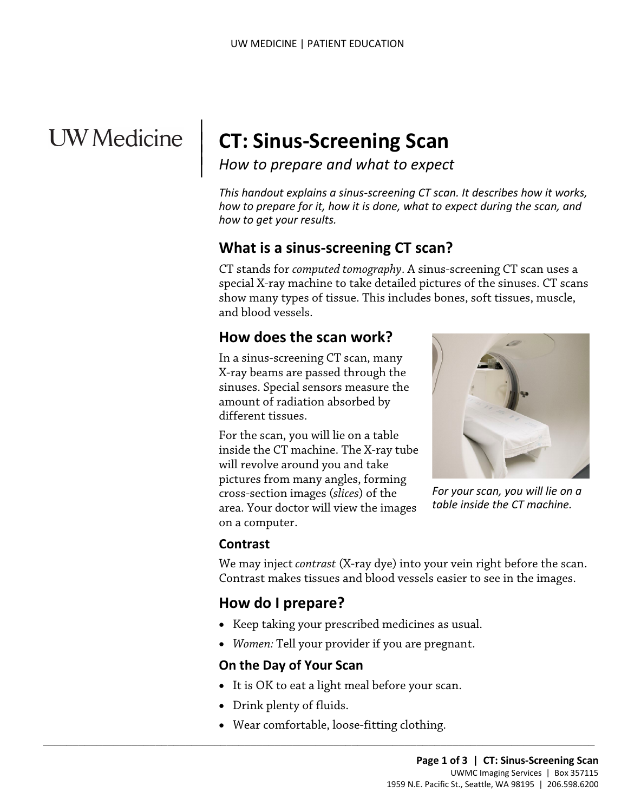# **UW** Medicine

 $\parallel$  $\vert$  $\vert$ 

# **CT: Sinus-Screening Scan**

*How to prepare and what to expect*

*This handout explains a sinus-screening CT scan. It describes how it works, how to prepare for it, how it is done, what to expect during the scan, and how to get your results.*

#### **What is a sinus-screening CT scan?**

special X-ray machine to take detailed pictures of the sinuses. C<br>show many types of tissue. This includes bones, soft tissues, mu<br>and blood vessels.<br>**How does the scan work?**<br>In a sinus-screening CT scan, many<br>X-ray beams CT stands for *computed tomography*. A sinus-screening CT scan uses a special X-ray machine to take detailed pictures of the sinuses. CT scans show many types of tissue. This includes bones, soft tissues, muscle, and blood vessels.

# **How does the scan work?**

In a sinus-screening CT scan, many X-ray beams are passed through the sinuses. Special sensors measure the amount of radiation absorbed by different tissues.

For the scan, you will lie on a table inside the CT machine. The X-ray tube will revolve around you and take pictures from many angles, forming cross-section images (*slices*) of the area. Your doctor will view the images on a computer.



*For your scan, you will lie on a table inside the CT machine.*

#### **Contrast**

We may inject *contrast* (X-ray dye) into your vein right before the scan. Contrast makes tissues and blood vessels easier to see in the images.

#### **How do I prepare?**

- Keep taking your prescribed medicines as usual.
- *Women:* Tell your provider if you are pregnant.

#### **On the Day of Your Scan**

- It is OK to eat a light meal before your scan.
- Drink plenty of fluids.
- Wear comfortable, loose-fitting clothing.

 $\_$  ,  $\_$  ,  $\_$  ,  $\_$  ,  $\_$  ,  $\_$  ,  $\_$  ,  $\_$  ,  $\_$  ,  $\_$  ,  $\_$  ,  $\_$  ,  $\_$  ,  $\_$  ,  $\_$  ,  $\_$  ,  $\_$  ,  $\_$  ,  $\_$  ,  $\_$  ,  $\_$  ,  $\_$  ,  $\_$  ,  $\_$  ,  $\_$  ,  $\_$  ,  $\_$  ,  $\_$  ,  $\_$  ,  $\_$  ,  $\_$  ,  $\_$  ,  $\_$  ,  $\_$  ,  $\_$  ,  $\_$  ,  $\_$  ,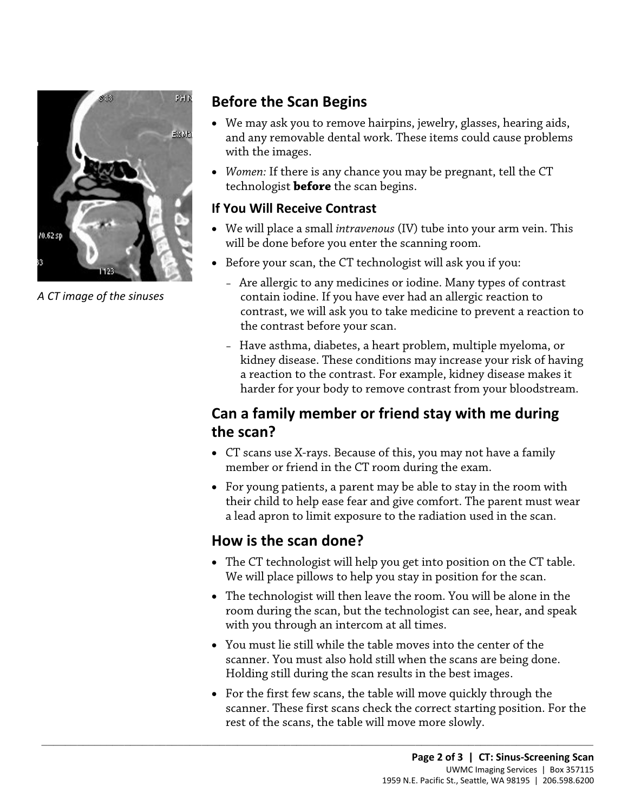

*A CT image of the sinuses*

# **Before the Scan Begins**

- We may ask you to remove hairpins, jewelry, glasses, hearing aids, and any removable dental work. These items could cause problems with the images.
- *Women:* If there is any chance you may be pregnant, tell the CT technologist **before** the scan begins.

#### **If You Will Receive Contrast**

- We will place a small *intravenous* (IV) tube into your arm vein. This will be done before you enter the scanning room.
- Before your scan, the CT technologist will ask you if you:
	- Are allergic to any medicines or iodine. Many types of contrast contain iodine. If you have ever had an allergic reaction to contrast, we will ask you to take medicine to prevent a reaction to the contrast before your scan.
- of the sinuses<br>
contrain iodine. If you have ever had an allergic reaction to<br>
contrast, we will ask you to take medicine to prevent a reactio<br>
the contrast before your scan.<br>
 Have asthma, diabetes, a heart problem, mult – Have asthma, diabetes, a heart problem, multiple myeloma, or kidney disease. These conditions may increase your risk of having a reaction to the contrast. For example, kidney disease makes it harder for your body to remove contrast from your bloodstream.

# **Can a family member or friend stay with me during the scan?**

- CT scans use X-rays. Because of this, you may not have a family member or friend in the CT room during the exam.
- For young patients, a parent may be able to stay in the room with their child to help ease fear and give comfort. The parent must wear a lead apron to limit exposure to the radiation used in the scan.

# **How is the scan done?**

 $\_$  ,  $\_$  ,  $\_$  ,  $\_$  ,  $\_$  ,  $\_$  ,  $\_$  ,  $\_$  ,  $\_$  ,  $\_$  ,  $\_$  ,  $\_$  ,  $\_$  ,  $\_$  ,  $\_$  ,  $\_$  ,  $\_$  ,  $\_$  ,  $\_$  ,  $\_$  ,  $\_$  ,  $\_$  ,  $\_$  ,  $\_$  ,  $\_$  ,  $\_$  ,  $\_$  ,  $\_$  ,  $\_$  ,  $\_$  ,  $\_$  ,  $\_$  ,  $\_$  ,  $\_$  ,  $\_$  ,  $\_$  ,  $\_$  ,

- The CT technologist will help you get into position on the CT table. We will place pillows to help you stay in position for the scan.
- The technologist will then leave the room. You will be alone in the room during the scan, but the technologist can see, hear, and speak with you through an intercom at all times.
- You must lie still while the table moves into the center of the scanner. You must also hold still when the scans are being done. Holding still during the scan results in the best images.
- For the first few scans, the table will move quickly through the scanner. These first scans check the correct starting position. For the rest of the scans, the table will move more slowly.